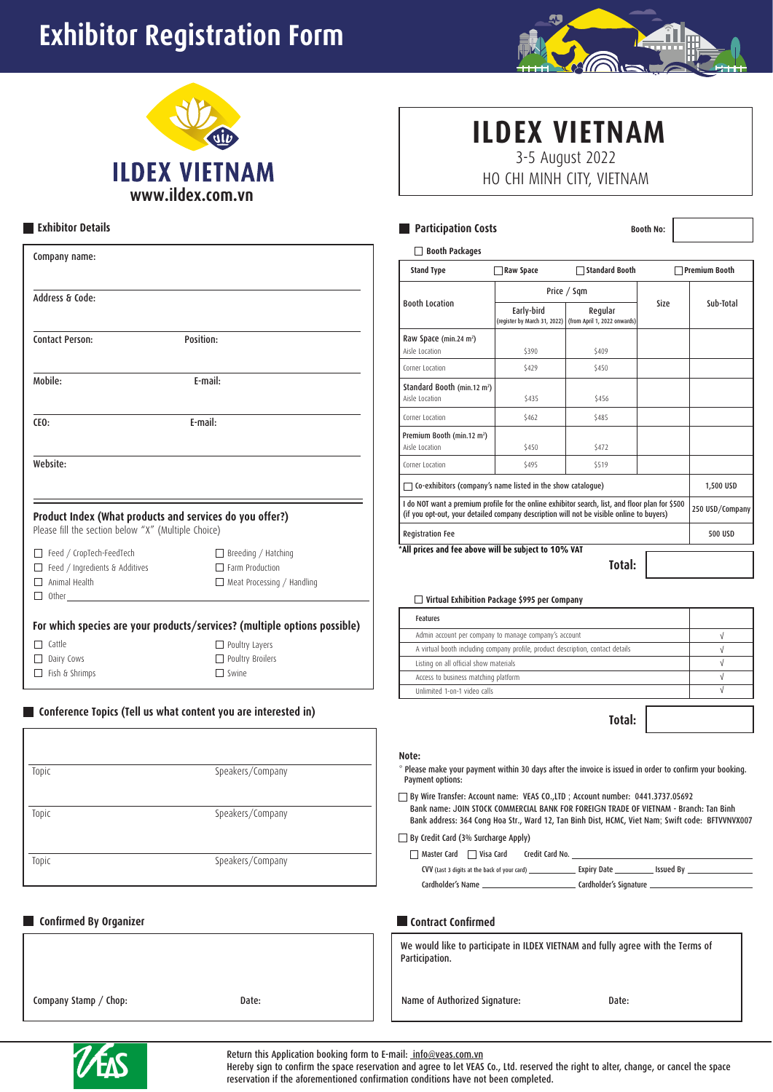# **Exhibitor Registration Form**





# **Exhibitor Details**

| Company name:                                                                        |                                                                                           |
|--------------------------------------------------------------------------------------|-------------------------------------------------------------------------------------------|
| Address & Code:                                                                      |                                                                                           |
| <b>Contact Person:</b>                                                               | Position:                                                                                 |
| Mobile:                                                                              | F-mail:                                                                                   |
| CEO:                                                                                 | E-mail:                                                                                   |
| Website:                                                                             |                                                                                           |
| Please fill the section below "X" (Multiple Choice)                                  | Product Index (What products and services do you offer?)                                  |
| Feed / CropTech-FeedTech<br>Feed / Ingredients & Additives<br>Animal Health<br>Other | $\Box$ Breeding / Hatching<br>$\Box$ Farm Production<br>$\Box$ Meat Processing / Handling |
|                                                                                      | For which species are your products/services? (multiple options possible)                 |
| Cattle<br>Dairy Cows                                                                 | Poultry Layers<br>Poultry Broilers                                                        |

# **Conference Topics (Tell us what content you are interested in)**

| Topic | Speakers/Company |
|-------|------------------|
| Topic | Speakers/Company |
| Topic | Speakers/Company |

 $\Box$  Swine

# **Confirmed By Organizer**

 $\Box$  Fish & Shrimps

Company Stamp / Chop: Date:

# **ILDEX VIETNAM** 3-5 August 2022

HO CHI MINH CITY, VIETNAM

# **Participation Costs Booth No**:

| Price / Sqm<br><b>Booth Location</b><br>Size<br>Early-bird<br>Regular<br>(register by March 31, 2022) (from April 1, 2022 onwards)<br>Raw Space (min.24 m <sup>2</sup> )<br>Aisle Location<br>\$409<br>\$390<br>Corner Location<br>\$429<br>\$450<br>Standard Booth (min.12 m <sup>2</sup> )<br>Aisle Location<br>\$435<br>\$456<br>Corner Location<br>\$462<br>\$485<br>Premium Booth (min.12 m <sup>2</sup> )<br>Aisle Location<br>\$450<br>\$472 | Sub-Total       |
|-----------------------------------------------------------------------------------------------------------------------------------------------------------------------------------------------------------------------------------------------------------------------------------------------------------------------------------------------------------------------------------------------------------------------------------------------------|-----------------|
|                                                                                                                                                                                                                                                                                                                                                                                                                                                     |                 |
|                                                                                                                                                                                                                                                                                                                                                                                                                                                     |                 |
|                                                                                                                                                                                                                                                                                                                                                                                                                                                     |                 |
|                                                                                                                                                                                                                                                                                                                                                                                                                                                     |                 |
|                                                                                                                                                                                                                                                                                                                                                                                                                                                     |                 |
|                                                                                                                                                                                                                                                                                                                                                                                                                                                     |                 |
|                                                                                                                                                                                                                                                                                                                                                                                                                                                     |                 |
|                                                                                                                                                                                                                                                                                                                                                                                                                                                     |                 |
| Corner Location<br>\$495<br>\$519                                                                                                                                                                                                                                                                                                                                                                                                                   |                 |
| Co-exhibitors (company's name listed in the show catalogue)                                                                                                                                                                                                                                                                                                                                                                                         | 1,500 USD       |
| I do NOT want a premium profile for the online exhibitor search, list, and floor plan for \$500<br>(if you opt-out, your detailed company description will not be visible online to buyers)                                                                                                                                                                                                                                                         | 250 USD/Company |
| <b>Registration Fee</b>                                                                                                                                                                                                                                                                                                                                                                                                                             | <b>500 USD</b>  |

# **Virtual Exhibition Package \$995 per Company**

| Features                                                                        |  |
|---------------------------------------------------------------------------------|--|
| Admin account per company to manage company's account                           |  |
| A virtual booth including company profile, product description, contact details |  |
| Listing on all official show materials                                          |  |
| Access to business matching platform                                            |  |
| Unlimited 1-on-1 video calls                                                    |  |

**Total:**

### **Note:**

 $^\ast$  Please make your payment within 30 days after the invoice is issued in order to confirm your booking. Payment options:

By Wire Transfer: Account name: VEAS CO.,LTD ; Account number: 0441.3737.05692 Bank name: JOIN STOCK COMMERCIAL BANK FOR FOREIGN TRADE OF VIETNAM - Branch: Tan Binh Bank address: 364 Cong Hoa Str., Ward 12, Tan Binh Dist, HCMC, Viet Nam; Swift code: BFTVVNVX007

# By Credit Card (3% Surcharge Apply)

| Credit Card No.<br>Master Card<br>Visa Card |                                              |  |                        |             |
|---------------------------------------------|----------------------------------------------|--|------------------------|-------------|
|                                             | CVV (Last 3 digits at the back of your card) |  | Expiry Date _          | . Issued Bv |
| Cardholder's Name                           |                                              |  | Cardholder's Signature |             |

## **Contract Confirmed**

| We would like to participate in ILDEX VIETNAM and fully agree with the Terms of |  |
|---------------------------------------------------------------------------------|--|
| Participation.                                                                  |  |

## Name of Authorized Signature: Date:



Return this Application booking form to E-mail: info@veas.com.vn

Hereby sign to confirm the space reservation and agree to let VEAS Co., Ltd. reserved the right to alter, change, or cancel the space reservation if the aforementioned confirmation conditions have not been completed.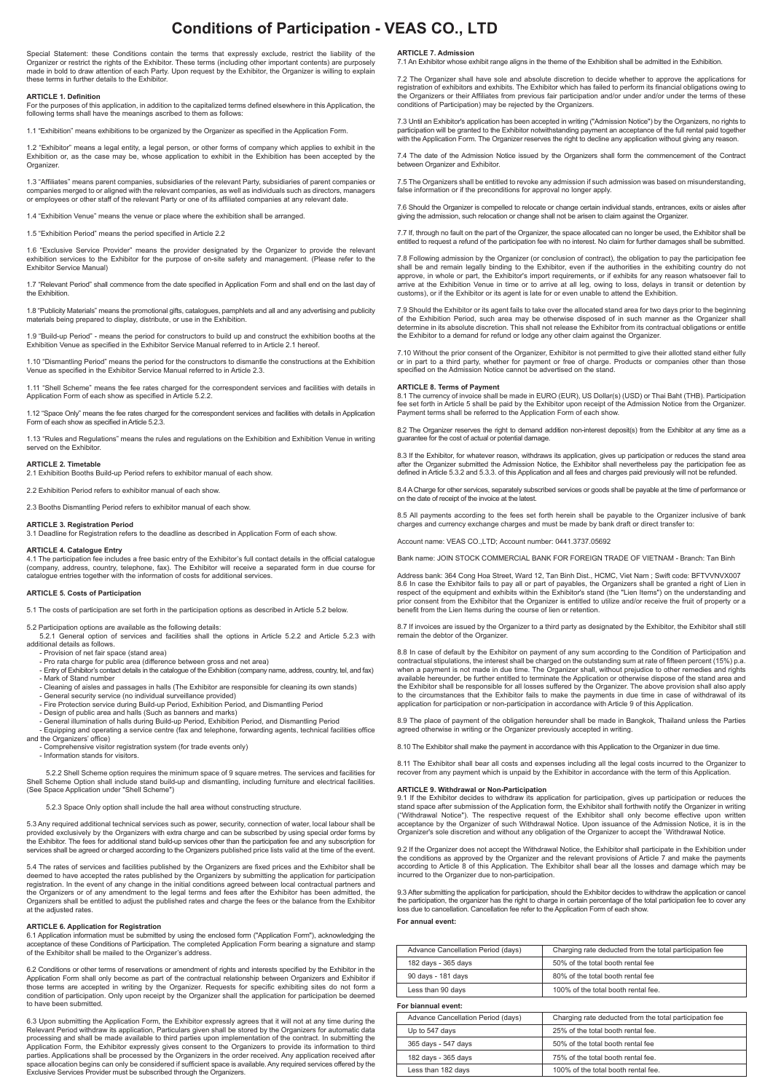# **Conditions of Participation - VEAS CO., LTD**

Special Statement: these Conditions contain the terms that expressly exclude, restrict the liability of the Organizer or restrict the rights of the Exhibitor. These terms (including other important contents) are purposely made in bold to draw attention of each Party. Upon request by the Exhibitor, the Organizer is willing to explain these terms in further details to the Exhibitor.

#### **ARTICLE 1. Definition**

For the purposes of this application, in addition to the capitalized terms defined elsewhere in this Application, the following terms shall have the meanings ascribed to them as follows:

1.1 "Exhibition" means exhibitions to be organized by the Organizer as specified in the Application Form.

1.2 "Exhibitor" means a legal entity, a legal person, or other forms of company which applies to exhibit in the<br>Exhibition or, as the case may be, whose application to exhibit in the Exhibition has been accepted by the<br>Org

1.3 "Affiliates" means parent companies, subsidiaries of the relevant Party, subsidiaries of parent companies or companies merged to or aligned with the relevant companies, as well as individuals such as directors, managers or employees or other staff of the relevant Party or one of its affiliated companies at any relevant date.

1.4 "Exhibition Venue" means the venue or place where the exhibition shall be arranged.

1.5 "Exhibition Period" means the period specified in Article 2.2

1.6 "Exclusive Service Provider" means the provider designated by the Organizer to provide the relevant exhibition services to the Exhibitor for the purpose of on-site safety and management. (Please refer to the Exhibitor Service Manual)

1.7 "Relevant Period" shall commence from the date specified in Application Form and shall end on the last day of the Exhibition

1.8 "Publicity Materials" means the promotional gifts, catalogues, pamphlets and all and any advertising and publicity materials being prepared to display, distribute, or use in the Exhibition.

1.9 "Build-up Period" - means the period for constructors to build up and construct the exhibition booths at the Exhibition Venue as specified in the Exhibitor Service Manual referred to in Article 2.1 hereof.

1.10 "Dismantling Period" means the period for the constructors to dismantle the constructions at the Exhibition Venue as specified in the Exhibitor Service Manual referred to in Article 2.3.

1.11 "Shell Scheme" means the fee rates charged for the correspondent services and facilities with details in Application Form of each show as specified in Article 5.2.2.

1.12 "Space Only" means the fee rates charged for the correspondent services and facilities with details in Application Form of each show as specified in Article 5.2.3.

1.13 "Rules and Regulations" means the rules and regulations on the Exhibition and Exhibition Venue in writing served on the Exhibitor

**ARTICLE 2. Timetable** 2.1 Exhibition Booths Build-up Period refers to exhibitor manual of each show.

2.2 Exhibition Period refers to exhibitor manual of each show.

2.3 Booths Dismantling Period refers to exhibitor manual of each show.

#### **ARTICLE 3. Registration Period**

3.1 Deadline for Registration refers to the deadline as described in Application Form of each show.

**ARTICLE 4. Catalogue Entry** 4.1 The participation fee includes a free basic entry of the Exhibitor's full contact details in the official catalogue (company, address, country, telephone, fax). The Exhibitor will receive a separated form in due course for catalogue entries together with the information of costs for additional services.

#### **ARTICLE 5. Costs of Participation**

5.1 The costs of participation are set forth in the participation options as described in Article 5.2 below.

#### 5.2 Participation options are available as the following details:

5.2.1 General option of services and facilities shall the options in Article 5.2.2 and Article 5.2.3 with additional details as follows.

- Provision of net fair space (stand area)

- Pro rata charge for public area (difference between gross and net area) - Entry of Exhibitor's contact details in the catalogue of the Exhibition (company name, address, country, tel, and fax) - Mark of Stand number

- Cleaning of aisles and passages in halls (The Exhibitor are responsible for cleaning its own stands) - General security service (no individual surveillance provided)

- 
- Fire Protection service during Build-up Period, Exhibition Period, and Dismantling Period<br>- Design of public area and halls (Such as banners and marks)<br>- General illumination of halls during Build-up Period, Exhibition P
- 

- Equipping and operating a service centre (fax and telephone, forwarding agents, technical facilities office and the Organizers' office)

- Comprehensive visitor registration system (for trade events only)

- Information stands for visitors.

5.2.2 Shell Scheme option requires the minimum space of 9 square metres. The services and facilities for Shell Scheme Option shall include stand build-up and dismantling, including furniture and electrical facilities. (See Space Application under "Shell Scheme")

5.2.3 Space Only option shall include the hall area without constructing structure.

5.3 Any required additional technical services such as power, security, connection of water, local labour shall be provided exclusively by the Organizers with extra charge and can be subscribed by using special order forms by<br>the Exhibitor. The fees for additional stand build-up services other than the participation fee and any subscri services shall be agreed or charged according to the Organizers published price lists valid at the time of the event.

5.4 The rates of services and facilities published by the Organizers are fixed prices and the Exhibitor shall be deemed to have accepted the rates published by the Organizers by submitting the application for participation registration. In the event of any change in the initial conditions agreed between local contractual partners and the Organizers or of any amendment to the legal terms and fees after the Exhibitor has been admitted, the<br>Organizers shall be entitled to adjust the published rates and charge the fees or the balance from the Exhibitor<br>at

### **ARTICLE 6. Application for Registration**

6.1 Application information must be submitted by using the enclosed form ("Application Form"), acknowledging the acceptance of these Conditions of Participation. The completed Application Form bearing a signature and stamp of the Exhibitor shall be mailed to the Organizer's address.

6.2 Conditions or other terms of reservations or amendment of rights and interests specified by the Exhibitor in the Application Form shall only become as part of the contractual relationship between Organizers and Exhibitor if<br>those terms are accepted in writing by the Organizer. Requests for specific exhibiting sites do not form a<br>cond to have been submitted.

6.3 Upon submitting the Application Form, the Exhibitor expressly agrees that it will not at any time during the<br>Relevant Period withdraw its application, Particulars given shall be stored by the Organizers for automatic d Application Form, the Exhibitor expressly gives consent to the Organizers to provide its information to third parties. Applications shall be processed by the Organizers in the order received. Any application received after space allocation begins can only be considered if sufficient space is available. Any required services offered by the Exclusive Services Provider must be subscribed through the Organizers.

**ARTICLE 7. Admission** 7.1 An Exhibitor whose exhibit range aligns in the theme of the Exhibition shall be admitted in the Exhibition.

7.2 The Organizer shall have sole and absolute discretion to decide whether to approve the applications for registration of exhibitors and exhibits. The Exhibitor which has failed to perform its financial obligations owing to<br>the Organizers or their Affiliates from previous fair participation and/or under and/or under the terms conditions of Participation) may be rejected by the Organizers.

7.3 Until an Exhibitor's application has been accepted in writing ("Admission Notice") by the Organizers, no rights to participation will be granted to the Exhibitor notwithstanding payment an acceptance of the full rental paid together<br>with the Application Form. The Organizer reserves the right to decline any application without giving an

7.4 The date of the Admission Notice issued by the Organizers shall form the commencement of the Contract between Organizer and Exhibitor.

7.5 The Organizers shall be entitled to revoke any admission if such admission was based on misunderstanding, false information or if the preconditions for approval no longer apply.

7.6 Should the Organizer is compelled to relocate or change certain individual stands, entrances, exits or aisles after giving the admission, such relocation or change shall not be arisen to claim against the Organizer.

7.7 If, through no fault on the part of the Organizer, the space allocated can no longer be used, the Exhibitor shall be entitled to request a refund of the participation fee with no interest. No claim for further damages shall be submitted.

7.8 Following admission by the Organizer (or conclusion of contract), the obligation to pay the participation fee shall be and remain legally binding to the Exhibitor, even if the authorities in the exhibiting country do not<br>approve, in whole or part, the Exhibitor's import requirements, or if exhibits for any reason whatsoever fail t customs), or if the Exhibitor or its agent is late for or even unable to attend the Exhibition.

7.9 Should the Exhibitor or its agent fails to take over the allocated stand area for two days prior to the beginning<br>of the Exhibition Period, such area may be otherwise disposed of in such manner as the Organizer shall<br>d the Exhibitor to a demand for refund or lodge any other claim against the Organizer.

7.10 Without the prior consent of the Organizer, Exhibitor is not permitted to give their allotted stand either fully<br>or in part to a third party, whether for payment or free of charge. Products or companies other than tho specified on the Admission Notice cannot be advertised on the stand.

#### **ARTICLE 8. Terms of Payment**

8.1 The currency of invoice shall be made in EURO (EUR), US Dollar(s) (USD) or Thai Baht (THB). Participation<br>fee set forth in Article 5 shall be paid by the Exhibitor upon receipt of the Admission Notice from the Organize Payment terms shall be referred to the Application Form of each show.

8.2 The Organizer reserves the right to demand addition non-interest deposit(s) from the Exhibitor at any time as a guarantee for the cost of actual or potential damage.

8.3 If the Exhibitor, for whatever reason, withdraws its application, gives up participation or reduces the stand area<br>after the Organizer submitted the Admission Notice, the Exhibitor shall nevertheless pay the participat defined in Article 5.3.2 and 5.3.3. of this Application and all fees and charges paid previously will not be refunded.

8.4 A Charge for other services, separately subscribed services or goods shall be payable at the time of performance or on the date of receipt of the invoice at the latest.

8.5 All payments according to the fees set forth herein shall be payable to the Organizer inclusive of bank charges and currency exchange charges and must be made by bank draft or direct transfer to:

Account name: VEAS CO.,LTD; Account number: 0441.3737.05692

Bank name: JOIN STOCK COMMERCIAL BANK FOR FOREIGN TRADE OF VIETNAM - Branch: Tan Binh

Address bank: 364 Cong Hoa Street, Ward 12, Tan Binh Dist., HCMC, Viet Nam ; Swift code: BFTVVNVX007 8.6 In case the Exhibitor fails to pay all or part of payables, the Organizers shall be granted a right of Lien in respect of the equipment and exhibits within the Exhibitor's stand (the "Lien Items") on the understanding and prior consent from the Exhibitor that the Organizer is entitled to utilize and/or receive the fruit of property or a benefit from the Lien Items during the course of lien or retention.

8.7 If invoices are issued by the Organizer to a third party as designated by the Exhibitor, the Exhibitor shall still remain the debtor of the Organizer.

8.8 In case of default by the Exhibitor on payment of any sum according to the Condition of Participation and contractual stipulations, the interest shall be charged on the outstanding sum at rate of fifteen percent (15%) p.a.<br>when a payment is not made in due time. The Organizer shall, without prejudice to other remedies and righ the Exhibitor shall be responsible for all losses suffered by the Organizer. The above provision shall also apply to the circumstances that the Exhibitor fails to make the payments in due time in case of withdrawal of its application for participation or non-participation in accordance with Article 9 of this Application.

8.9 The place of payment of the obligation hereunder shall be made in Bangkok, Thailand unless the Parties agreed otherwise in writing or the Organizer previously accepted in writing.

8.10 The Exhibitor shall make the payment in accordance with this Application to the Organizer in due time.

8.11 The Exhibitor shall bear all costs and expenses including all the legal costs incurred to the Organizer to recover from any payment which is unpaid by the Exhibitor in accordance with the term of this Application.

#### **ARTICLE 9. Withdrawal or Non-Participation**

9.1 If the Exhibitor decides to withdraw its application for participation, gives up participation or reduces the stand space after submission of the Application form, the Exhibitor shall forthwith notify the Organizer in writing ("Withdrawal Notice"). The respective request of the Exhibitor shall only become effective upon written acceptance by the Organizer of such Withdrawal Notice. Upon issuance of the Admission Notice, it is in the Organizer's sole discretion and without any obligation of the Organizer to accept the `Withdrawal Notice.

9.2 If the Organizer does not accept the Withdrawal Notice, the Exhibitor shall participate in the Exhibition under the conditions as approved by the Organizer and the relevant provisions of Article 7 and make the payments according to Article 8 of this Application. The Exhibitor shall bear all the losses and damage which may be incurred to the Organizer due to non-participation.

9.3 After submitting the application for participation, should the Exhibitor decides to withdraw the application or cancel the participation, the organizer has the right to charge in certain percentage of the total participation fee to cover any loss due to cancellation. Cancellation fee refer to the Application Form of each show. **For annual event:**

| Charging rate deducted from the total participation fee |
|---------------------------------------------------------|
| 50% of the total booth rental fee                       |
| 80% of the total booth rental fee                       |
| 100% of the total booth rental fee.                     |
|                                                         |
| Charging rate deducted from the total participation fee |
| 25% of the total booth rental fee.                      |
| 50% of the total booth rental fee                       |
| 75% of the total booth rental fee.                      |
| 100% of the total booth rental fee.                     |
|                                                         |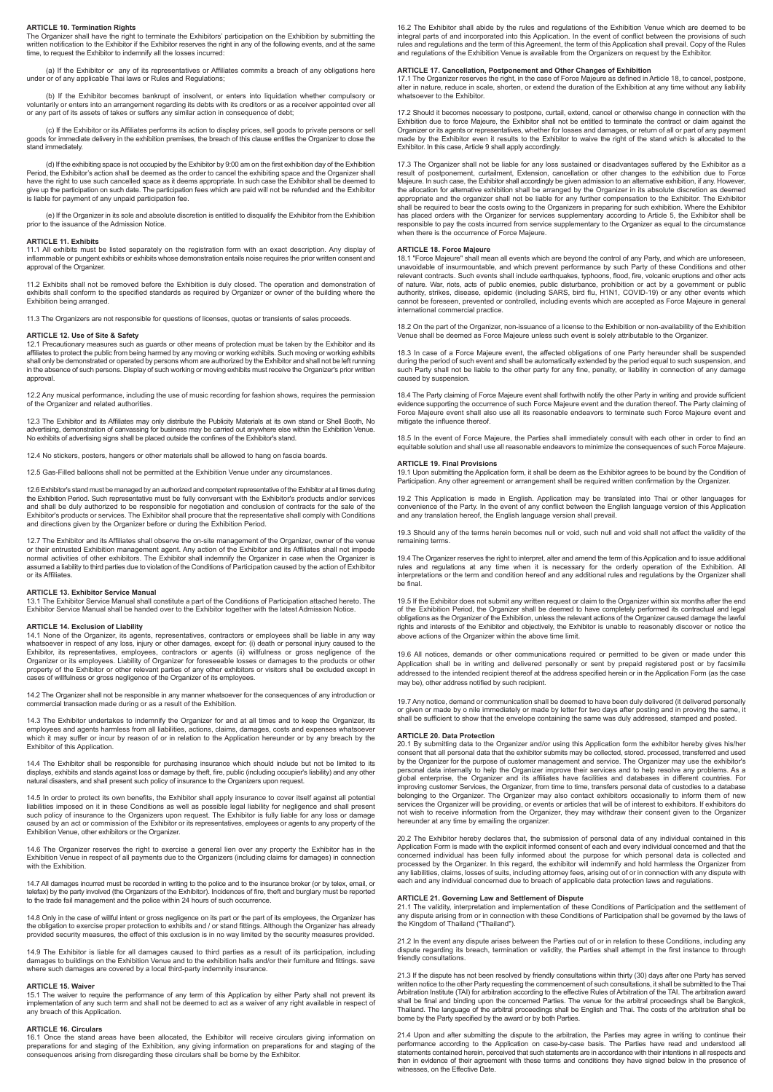#### **ARTICLE 10. Termination Rights**

The Organizer shall have the right to terminate the Exhibitors' participation on the Exhibition by submitting the<br>written notification to the Exhibitor if the Exhibitor reserves the right in any of the following events, an time, to request the Exhibitor to indemnify all the losses incurred:

(a) If the Exhibitor or any of its representatives or Affiliates commits a breach of any obligations here under or of any applicable Thai laws or Rules and Regulations;

(b) If the Exhibitor becomes bankrupt of insolvent, or enters into liquidation whether compulsory or voluntarily or enters into an arrangement regarding its debts with its creditors or as a receiver appointed over all or any part of its assets of takes or suffers any similar action in consequence of debt;

c) If the Exhibitor or its Affiliates performs its action to display prices, sell goods to private persons or sell<br>goods for immediate delivery in the exhibition premises, the breach of this clause entitles the Organizer t stand immediately.

(d) If the exhibiting space is not occupied by the Exhibitor by 9:00 am on the first exhibition day of the Exhibition Period, the Exhibitor's action shall be deemed as the order to cancel the exhibiting space and the Organizer shall<br>have the right to use such cancelled space as it deems appropriate. In such case the Exhibitor shall be dee is liable for payment of any unpaid participation fee.

(e) If the Organizer in its sole and absolute discretion is entitled to disqualify the Exhibitor from the Exhibition prior to the issuance of the Admission Notice.

#### **ARTICLE 11. Exhibits**

11.1 All exhibits must be listed separately on the registration form with an exact description. Any display of inflammable or pungent exhibits or exhibits whose demonstration entails noise requires the prior written consent and approval of the Organizer

11.2 Exhibits shall not be removed before the Exhibition is duly closed. The operation and demonstration of exhibits shall conform to the specified standards as required by Organizer or owner of the building where the Exhibition being arranged.

11.3 The Organizers are not responsible for questions of licenses, quotas or transients of sales proceeds.

#### **ARTICLE 12. Use of Site & Safety**

12.1 Precautionary measures such as guards or other means of protection must be taken by the Exhibitor and its<br>affiliates to protect the public from being harmed by any moving or working exhibits. Such moving or working ex in the absence of such persons. Display of such working or moving exhibits must receive the Organizer's prior written approval.

12.2 Any musical performance, including the use of music recording for fashion shows, requires the permission of the Organizer and related authorities.

12.3 The Exhibitor and its Affiliates may only distribute the Publicity Materials at its own stand or Shell Booth, No<br>advertising, demonstration of canvassing for business may be carried out anywhere else within the Exhibi

12.4 No stickers, posters, hangers or other materials shall be allowed to hang on fascia boards.

12.5 Gas-Filled balloons shall not be permitted at the Exhibition Venue under any circumstanc

12.6 Exhibitor's stand must be managed by an authorized and competent representative of the Exhibitor at all times during the Exhibition Period. Such representative must be fully conversant with the Exhibitor's products and/or service the Exhibition Period. Such representative must be fully conversant with the Exhibitor's products and/or serv and shall be duly authorized to be responsible for negotiation and conclusion of contracts for the sale of the Exhibitor's products or services. The Exhibitor shall procure that the representative shall comply with Conditions and directions given by the Organizer before or during the Exhibition Period.

12.7 The Exhibitor and its Affiliates shall observe the on-site management of the Organizer, owner of the venue or their entrusted Exhibition management agent. Any action of the Exhibitor and its Affiliates shall not impede normal activities of other exhibitors. The Exhibitor shall indemnify the Organizer in case when the Organizer is ssumed a liability to third parties due to violation of the Conditions of Participation caused by the action of Exhibitor or its Affiliates.

#### **ARTICLE 13. Exhibitor Service Manual**

13.1 The Exhibitor Service Manual shall constitute a part of the Conditions of Participation attached hereto. The Exhibitor Service Manual shall be handed over to the Exhibitor together with the latest Admission Notice.

#### **ARTICLE 14. Exclusion of Liability**

14.1 None of the Organizer, its agents, representatives, contractors or employees shall be liable in any way whatsoever in respect of any loss, injury or other damages, except for: (i) death or personal injury caused to the Exhibitor, its representatives, employees, contractors or agents (ii) willfulness or gross negligence of the Organizer or its employees. Liability of Organizer for foreseeable losses or damages to the products or other property of the Exhibitor or other relevant parties of any other exhibitors or visitors shall be excluded except in cases of willfulness or gross negligence of the Organizer of its employees.

14.2 The Organizer shall not be responsible in any manner whatsoever for the consequences of any introduction or commercial transaction made during or as a result of the Exhibition.

14.3 The Exhibitor undertakes to indemnify the Organizer for and at all times and to keep the Organizer, its employees and agents harmless from all liabilities, actions, claims, damages, costs and expenses whatsoever which it may suffer or incur by reason of or in relation to the Application hereunder or by any breach by the Exhibitor of this Application.

14.4 The Exhibitor shall be responsible for purchasing insurance which should include but not be limited to its displays, exhibits and stands against loss or damage by theft, fire, public (including occupier's liability) and any other natural disasters, and shall present such policy of insurance to the Organizers upon request.

14.5 In order to protect its own benefits, the Exhibitor shall apply insurance to cover itself against all potential liabilities imposed on it in these Conditions as well as possible legal liability for negligence and shall present<br>such policy of insurance to the Organizers upon request. The Exhibitor is fully liable for any loss or dama caused by an act or commission of the Exhibitor or its representatives, employees or agents to any property of the Exhibition Venue, other exhibitors or the Organizer.

14.6 The Organizer reserves the right to exercise a general lien over any property the Exhibitor has in the Exhibition Venue in respect of all payments due to the Organizers (including claims for damages) in connection with the Exhibition.

14.7 All damages incurred must be recorded in writing to the police and to the insurance broker (or by telex, email, or<br>telefax) by the party involved (the Organizers of the Exhibitor). Incidences of fire, theft and burgla to the trade fail management and the police within 24 hours of such occurrence.

14.8 Only in the case of willful intent or gross negligence on its part or the part of its employees, the Organizer has the obligation to exercise proper protection to exhibits and / or stand fittings. Although the Organizer has already<br>provided security measures, the effect of this exclusion is in no way limited by the security measures pr

14.9 The Exhibitor is liable for all damages caused to third parties as a result of its participation, including<br>damages to buildings on the Exhibition Venue and to the exhibition halls and/or their furniture and fittings. where such damages are covered by a local third-party indemnity insurance.

#### **ARTICLE 15. Waiver**

15.1 The waiver to require the performance of any term of this Application by either Party shall not prevent its implementation of any such term and shall not be deemed to act as a waiver of any right available in respect of any breach of this Application.

#### **ARTICLE 16. Circulars**

16.1 Once the stand areas have been allocated, the Exhibitor will receive circulars giving information on preparations for and staging of the Exhibition, any giving information on preparations for and staging of the consequences arising from disregarding these circulars shall be borne by the Exhibitor.

16.2 The Exhibitor shall abide by the rules and regulations of the Exhibition Venue which are deemed to be integral parts of and incorporated into this Application. In the event of conflict between the provisions of such<br>rules and regulations and the term of this Agreement, the term of this Application shall prevail. Copy of th and regulations of the Exhibition Venue is available from the Organizers on request by the Exhibitor.

#### **ARTICLE 17. Cancellation, Postponement and Other Changes of Exhibition**

17.1 The Organizer reserves the right, in the case of Force Majeure as defined in Article 18, to cancel, postpone,<br>alter in nature, reduce in scale, shorten, or extend the duration of the Exhibition at any time without any whatsoever to the Exhibitor

17.2 Should it becomes necessary to postpone, curtail, extend, cancel or otherwise change in connection with the Exhibition due to force Majeure, the Exhibitor shall not be entitled to terminate the contract or claim against the Organizer or its agents or representatives, whether for losses and damages, or return of all or part of any payment<br>made by the Exhibitor even it results to the Exhibitor to waive the right of the stand which is allocated Exhibitor. In this case, Article 9 shall apply accordingly.

17.3 The Organizer shall not be liable for any loss sustained or disadvantages suffered by the Exhibitor as a result of postponement, curtailment, Extension, cancellation or other changes to the exhibition due to Force<br>Majeure. In such case, the Exhibitor shall accordingly be given admission to an alternative exhibition, if any. H appropriate and the organizer shall not be liable for any further compensation to the Exhibitor. The Exhibitor<br>shall be required to bear the costs owing to the Organizers in preparing for such exhibition. Where the Exhibit has placed orders with the Organizer for services supplementary according to Article 5, the Exhibitor shall be responsible to pay the costs incurred from service supplementary to the Organizer as equal to the circumstance when there is the occurrence of Force Majeure.

## **ARTICLE 18. Force Majeure**

18.1 "Force Majeure" shall mean all events which are beyond the control of any Party, and which are unforeseen, unavoidable of insurmountable, and which prevent performance by such Party of these Conditions and other relevant contracts. Such events shall include earthquakes, typhoons, flood, fire, volcanic eruptions and other acts<br>of nature. War, riots, acts of public enemies, public disturbance, prohibition or act by a government or p authority, strikes, disease, epidemic (including SARS, bird flu, H1N1, COVID-19) or any other events which<br>cannot be foreseen, prevented or controlled, including events which are accepted as Force Majeure in general<br>intern

18.2 On the part of the Organizer, non-issuance of a license to the Exhibition or non-availability of the Exhibition Venue shall be deemed as Force Majeure unless such event is solely attributable to the Organize

18.3 In case of a Force Majeure event, the affected obligations of one Party hereunder shall be suspended during the period of such event and shall be automatically extended by the period equal to such suspension, and such Party shall not be liable to the other party for any fine, penalty, or liability in connection of any damage caused by suspension.

18.4 The Party claiming of Force Majeure event shall forthwith notify the other Party in writing and provide sufficient For First Farty claiming of Force Majeure event shall fortuwar hoaly are offer Farty in whalfy and provide sumbering of events of such Force Majeure event and the duration thereof. The Party claiming of Force Majeure event shall also use all its reasonable endeavors to terminate such Force Majeure event and mitigate the influence thereof.

18.5 In the event of Force Majeure, the Parties shall immediately consult with each other in order to find an equitable solution and shall use all reasonable endeavors to minimize the consequences of such Force Majeure.

#### **ARTICLE 19. Final Provisions**

19.1 Upon submitting the Application form, it shall be deem as the Exhibitor agrees to be bound by the Condition of Participation. Any other agreement or arrangement shall be required written confirmation by the Organizer.

19.2 This Application is made in English. Application may be translated into Thai or other languages for convenience of the Party. In the event of any conflict between the English language version of this Application and any translation hereof, the English language version shall prevail.

19.3 Should any of the terms herein becomes null or void, such null and void shall not affect the validity of the remaining terms

19.4 The Organizer reserves the right to interpret, alter and amend the term of this Application and to issue additional rules and regulations at any time when it is necessary for the orderly operation of the Exhibition. All interpretations or the term and condition hereof and any additional rules and regulations by the Organizer shall be final.

19.5 If the Exhibitor does not submit any written request or claim to the Organizer within six months after the end of the Exhibition Period, the Organizer shall be deemed to have completely performed its contractual and legal<br>obligations as the Organizer of the Exhibition, unless the relevant actions of the Organizer caused damage the above actions of the Organizer within the above time limit.

19.6 All notices, demands or other communications required or permitted to be given or made under this Application shall be in writing and delivered personally or sent by prepaid registered post or by facsimile addressed to the intended recipient thereof at the address specified herein or in the Application Form (as the case may be), other address notified by such recipient.

19.7 Any notice, demand or communication shall be deemed to have been duly delivered (it delivered personally or given or made by o nile immediately or made by letter for two days after posting and in proving the same, it shall be sufficient to show that the envelope containing the same was duly addressed, stamped and posted.

#### **ARTICLE 20. Data Protection**

20.1 By submitting data to the Organizer and/or using this Application form the exhibitor hereby gives his/her consent that all personal data that the exhibitor submits may be collected, stored. processed, transferred and used by the Organizer for the purpose of customer management and service. The Organizer may use the exhibitor's personal data internally to help the Organizer improve their services and to help resolve any problems. As a global enterprise, the Organizer and its affiliates have facilities and databases in different countries. For improving customer Services, the Organizer, from time to time, transfers personal data of custodies to a database belonging to the Organizer. The Organizer may also contact exhibitors occasionally to inform them of new<br>services the Organizer will be providing, or events or articles that will be of interest to exhibitors. If exhibitors hereunder at any time by emailing the organizer.

20.2 The Exhibitor hereby declares that, the submission of personal data of any individual contained in this Application Form is made with the explicit informed consent of each and every individual concerned and that the concerned individual has been fully informed about the purpose for which personal data is collected and processed by the Organizer. In this regard, the exhibitor will indemnify and hold harmless the Organizer from any liabilities, claims, losses of suits, including attorney fees, arising out of or in connection with any dispute with each and any individual concerned due to breach of applicable data protection laws and regulations.

#### **ARTICLE 21. Governing Law and Settlement of Dispute**

21.1 The validity, interpretation and implementation of these Conditions of Participation and the settlement of any dispute arising from or in connection with these Conditions of Participation shall be governed by the laws of the Kingdom of Thailand ("Thailand").

21.2 In the event any dispute arises between the Parties out of or in relation to these Conditions, including any dispute regarding its breach, termination or validity, the Parties shall attempt in the first instance to through friendly consultations.

21.3 If the dispute has not been resolved by friendly consultations within thirty (30) days after one Party has served written notice to the other Party requesting the commencement of such consultations, it shall be submitted to the Thai<br>Arbitration Institute (TAI) for arbitration according to the effective Rules of Arbitration of the AT. Thailand. The language of the arbitral proceedings shall be English and Thai. The costs of the arbitration shall be borne by the Party specified by the award or by both Parties.

21.4 Upon and after submitting the dispute to the arbitration, the Parties may agree in writing to continue their performance according to the Application on case-by-case basis. The Parties have read and understood all<br>statements contained herein, perceived that such statements are in accordance with their intentions in all respects a then in evidence of their agreement with these terms and conditions they have signed below in the presence of witnesses, on the Effective Date